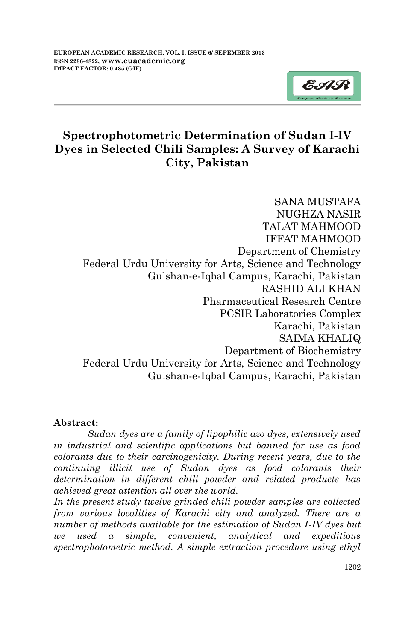

# **Spectrophotometric Determination of Sudan I-IV Dyes in Selected Chili Samples: A Survey of Karachi City, Pakistan**

SANA MUSTAFA NUGHZA NASIR TALAT MAHMOOD IFFAT MAHMOOD Department of Chemistry Federal Urdu University for Arts, Science and Technology Gulshan-e-Iqbal Campus, Karachi, Pakistan RASHID ALI KHAN Pharmaceutical Research Centre PCSIR Laboratories Complex Karachi, Pakistan SAIMA KHALIQ Department of Biochemistry Federal Urdu University for Arts, Science and Technology Gulshan-e-Iqbal Campus, Karachi, Pakistan

## **Abstract:**

*Sudan dyes are a family of lipophilic azo dyes, extensively used in industrial and scientific applications but banned for use as food colorants due to their carcinogenicity. During recent years, due to the continuing illicit use of Sudan dyes as food colorants their determination in different chili powder and related products has achieved great attention all over the world.*

*In the present study twelve grinded chili powder samples are collected from various localities of Karachi city and analyzed. There are a number of methods available for the estimation of Sudan I-IV dyes but we used a simple, convenient, analytical and expeditious spectrophotometric method. A simple extraction procedure using ethyl*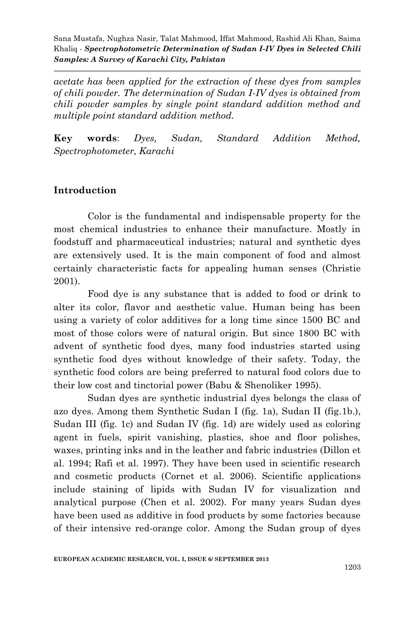*acetate has been applied for the extraction of these dyes from samples of chili powder. The determination of Sudan I-IV dyes is obtained from chili powder samples by single point standard addition method and multiple point standard addition method.* 

**Key words**: *Dyes, Sudan, Standard Addition Method, Spectrophotometer, Karachi*

#### **Introduction**

Color is the fundamental and indispensable property for the most chemical industries to enhance their manufacture. Mostly in foodstuff and pharmaceutical industries; natural and synthetic dyes are extensively used. It is the main component of food and almost certainly characteristic facts for appealing human senses (Christie 2001).

Food dye is any substance that is added to food or drink to alter its color, flavor and aesthetic value. Human being has been using a variety of color additives for a long time since 1500 BC and most of those colors were of natural origin. But since 1800 BC with advent of synthetic food dyes, many food industries started using synthetic food dyes without knowledge of their safety. Today, the synthetic food colors are being preferred to natural food colors due to their low cost and tinctorial power (Babu & Shenoliker 1995).

Sudan dyes are synthetic industrial dyes belongs the class of azo dyes. Among them Synthetic Sudan I (fig. 1a), Sudan II (fig.1b.), Sudan III (fig. 1c) and Sudan IV (fig. 1d) are widely used as coloring agent in fuels, spirit vanishing, plastics, shoe and floor polishes, waxes, printing inks and in the leather and fabric industries (Dillon et al. 1994; Rafi et al. 1997). They have been used in scientific research and cosmetic products (Cornet et al. 2006). Scientific applications include staining of lipids with Sudan IV for visualization and analytical purpose (Chen et al. 2002). For many years Sudan dyes have been used as additive in food products by some factories because of their intensive red-orange color. Among the Sudan group of dyes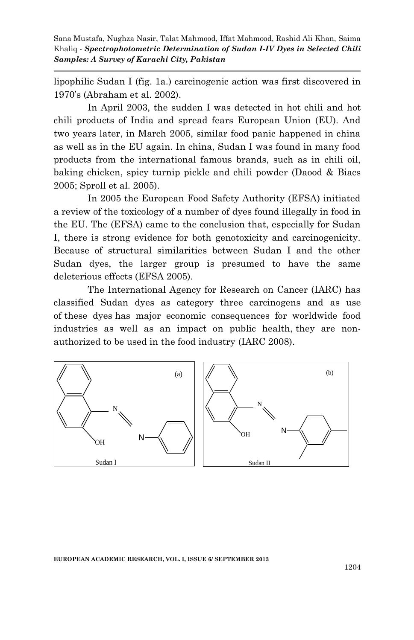lipophilic Sudan I (fig. 1a.) carcinogenic action was first discovered in 1970's (Abraham et al. 2002).

In April 2003, the sudden I was detected in hot chili and hot chili products of India and spread fears European Union (EU). And two years later, in March 2005, similar food panic happened in china as well as in the EU again. In china, Sudan I was found in many food products from the international famous brands, such as in chili oil, baking chicken, spicy turnip pickle and chili powder (Daood & Biacs 2005; Sproll et al. 2005).

In 2005 the European Food Safety Authority (EFSA) initiated a review of the toxicology of a number of dyes found illegally in food in the EU. The (EFSA) came to the conclusion that, especially for Sudan I, there is strong evidence for both genotoxicity and carcinogenicity. Because of structural similarities between Sudan I and the other Sudan dyes, the larger group is presumed to have the same deleterious effects (EFSA 2005).

The International Agency for Research on Cancer (IARC) has classified Sudan dyes as category three carcinogens and as use of these dyes has major economic consequences for worldwide food industries as well as an impact on public health, they are nonauthorized to be used in the food industry (IARC 2008).

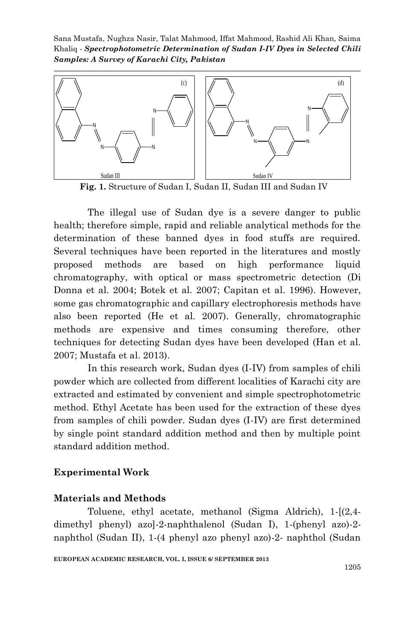Sana Mustafa, Nughza Nasir, Talat Mahmood, Iffat Mahmood, Rashid Ali Khan, Saima Khaliq - *Spectrophotometric Determination of Sudan I-IV Dyes in Selected Chili Samples: A Survey of Karachi City, Pakistan*



**Fig. 1.** Structure of Sudan I, Sudan II, Sudan III and Sudan IV

The illegal use of Sudan dye is a severe danger to public health; therefore simple, rapid and reliable analytical methods for the determination of these banned dyes in food stuffs are required. Several techniques have been reported in the literatures and mostly proposed methods are based on high performance liquid chromatography, with optical or mass spectrometric detection (Di Donna et al. 2004; Botek et al. 2007; Capitan et al. 1996). However, some gas chromatographic and capillary electrophoresis methods have also been reported (He et al. 2007). Generally, chromatographic methods are expensive and times consuming therefore, other techniques for detecting Sudan dyes have been developed (Han et al. 2007; Mustafa et al. 2013).

In this research work, Sudan dyes (I-IV) from samples of chili powder which are collected from different localities of Karachi city are extracted and estimated by convenient and simple spectrophotometric method. Ethyl Acetate has been used for the extraction of these dyes from samples of chili powder. Sudan dyes (I-IV) are first determined by single point standard addition method and then by multiple point standard addition method.

## **Experimental Work**

## **Materials and Methods**

Toluene, ethyl acetate, methanol (Sigma Aldrich), 1-[(2,4 dimethyl phenyl) azo]-2-naphthalenol (Sudan I), 1-(phenyl azo)-2 naphthol (Sudan II), 1-(4 phenyl azo phenyl azo)-2- naphthol (Sudan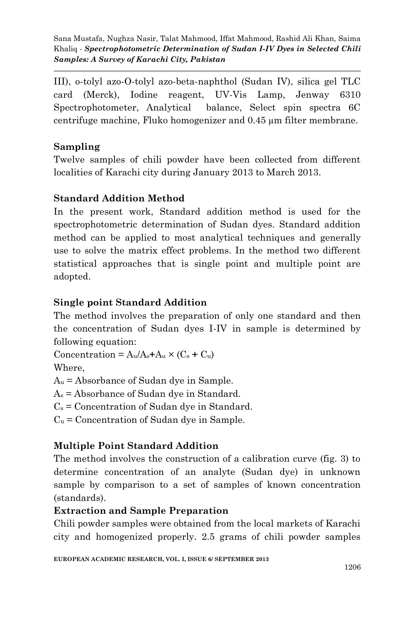III), o-tolyl azo-O-tolyl azo-beta-naphthol (Sudan IV), silica gel TLC card (Merck), Iodine reagent, UV-Vis Lamp, Jenway 6310 Spectrophotometer, Analytical balance, Select spin spectra 6C centrifuge machine, Fluko homogenizer and 0.45 µm filter membrane.

## **Sampling**

Twelve samples of chili powder have been collected from different localities of Karachi city during January 2013 to March 2013.

# **Standard Addition Method**

In the present work, Standard addition method is used for the spectrophotometric determination of Sudan dyes. Standard addition method can be applied to most analytical techniques and generally use to solve the matrix effect problems. In the method two different statistical approaches that is single point and multiple point are adopted.

# **Single point Standard Addition**

The method involves the preparation of only one standard and then the concentration of Sudan dyes I-IV in sample is determined by following equation:

Concentration =  $A_u/A_s + A_u \times (C_s + C_u)$ 

Where,

 $A<sub>u</sub>$  = Absorbance of Sudan dye in Sample.

 $A_s$  = Absorbance of Sudan dye in Standard.

 $C_s$  = Concentration of Sudan dye in Standard.

 $C<sub>u</sub>$  = Concentration of Sudan dye in Sample.

# **Multiple Point Standard Addition**

The method involves the construction of a calibration curve (fig. 3) to determine concentration of an analyte (Sudan dye) in unknown sample by comparison to a set of samples of known concentration (standards).

## **Extraction and Sample Preparation**

Chili powder samples were obtained from the local markets of Karachi city and homogenized properly. 2.5 grams of chili powder samples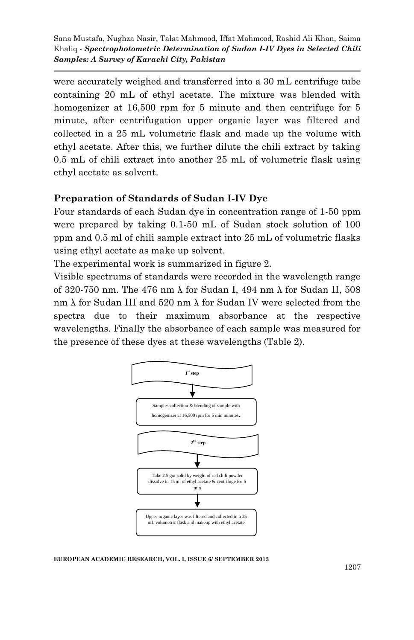were accurately weighed and transferred into a 30 mL centrifuge tube containing 20 mL of ethyl acetate. The mixture was blended with homogenizer at 16,500 rpm for 5 minute and then centrifuge for 5 minute, after centrifugation upper organic layer was filtered and collected in a 25 mL volumetric flask and made up the volume with ethyl acetate. After this, we further dilute the chili extract by taking 0.5 mL of chili extract into another 25 mL of volumetric flask using ethyl acetate as solvent.

## **Preparation of Standards of Sudan I-IV Dye**

Four standards of each Sudan dye in concentration range of 1-50 ppm were prepared by taking 0.1-50 mL of Sudan stock solution of 100 ppm and 0.5 ml of chili sample extract into 25 mL of volumetric flasks using ethyl acetate as make up solvent.

The experimental work is summarized in figure 2.

Visible spectrums of standards were recorded in the wavelength range of 320-750 nm. The 476 nm λ for Sudan I, 494 nm λ for Sudan II, 508 nm λ for Sudan III and 520 nm λ for Sudan IV were selected from the spectra due to their maximum absorbance at the respective wavelengths. Finally the absorbance of each sample was measured for the presence of these dyes at these wavelengths (Table 2).

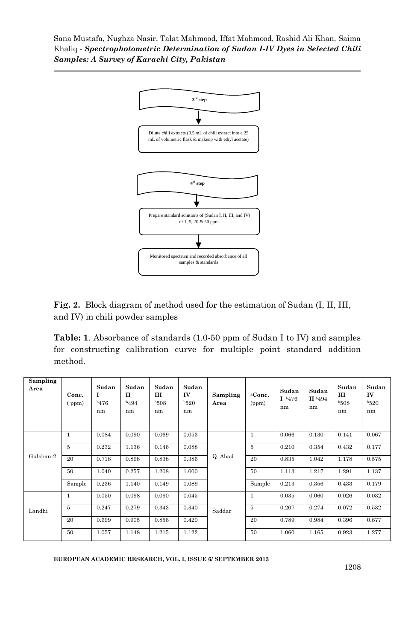

**Fig. 2.** Block diagram of method used for the estimation of Sudan (I, II, III, and IV) in chili powder samples

**Table: 1**. Absorbance of standards (1.0-50 ppm of Sudan I to IV) and samples for constructing calibration curve for multiple point standard addition method.

| Sampling<br>Area | Conc.<br>(ppm) | Sudan<br>1<br>b476<br>nm | Sudan<br>п<br>b494<br>nm | Sudan<br>ш<br>b508<br>nm | Sudan<br>IV<br>b520<br>nm | Sampling<br>Area | aConc.<br>(ppm) | Sudan<br>I <sup>b476</sup><br>nm | Sudan<br>II <sup>b494</sup><br>nm | Sudan<br>ш<br>b508<br>nm | Sudan<br>IV<br>b520<br>nm |
|------------------|----------------|--------------------------|--------------------------|--------------------------|---------------------------|------------------|-----------------|----------------------------------|-----------------------------------|--------------------------|---------------------------|
| Gulshan-2        | $\mathbf{1}$   | 0.084                    | 0.090                    | 0.069                    | 0.053                     | Q. Abad          | $\mathbf{1}$    | 0.066                            | 0.130                             | 0.141                    | 0.067                     |
|                  | 5              | 0.232                    | 1.136                    | 0.146                    | 0.088                     |                  | 5               | 0.210                            | 0.354                             | 0.432                    | 0.177                     |
|                  | 20             | 0.718                    | 0.898                    | 0.838                    | 0.386                     |                  | 20              | 0.835                            | 1.042                             | 1.178                    | 0.575                     |
|                  | 50             | 1.040                    | 0.257                    | 1.208                    | 1.000                     |                  | 50              | 1.113                            | 1.217                             | 1.291                    | 1.137                     |
|                  | Sample         | 0.236                    | 1.140                    | 0.149                    | 0.089                     |                  | Sample          | 0.213                            | 0.356                             | 0.433                    | 0.179                     |
|                  | $\mathbf{1}$   | 0.050                    | 0.098                    | 0.090                    | 0.045                     | Saddar           | $\mathbf{1}$    | 0.035                            | 0.060                             | 0.026                    | 0.032                     |
| Landhi           | 5              | 0.247                    | 0.279                    | 0.343                    | 0.340                     |                  | 5               | 0.207                            | 0.274                             | 0.072                    | 0.532                     |
|                  | 20             | 0.699                    | 0.905                    | 0.856                    | 0.420                     |                  | 20              | 0.789                            | 0.984                             | 0.396                    | 0.877                     |
|                  | 50             | 1.057                    | 1.148                    | 1.215                    | 1.122                     |                  | 50              | 1.060                            | 1.165                             | 0.923                    | 1.277                     |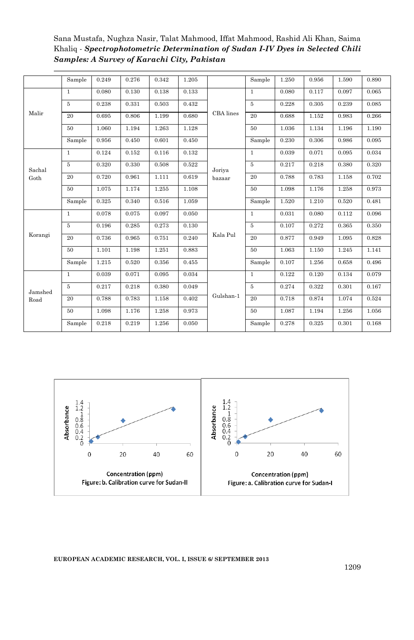Sana Mustafa, Nughza Nasir, Talat Mahmood, Iffat Mahmood, Rashid Ali Khan, Saima Khaliq - *Spectrophotometric Determination of Sudan I-IV Dyes in Selected Chili Samples: A Survey of Karachi City, Pakistan*

|                 | Sample       | 0.249 | 0.276 | 0.342 | 1.205 |           | Sample         | 1.250 | 0.956 | 1.590 | 0.890 |
|-----------------|--------------|-------|-------|-------|-------|-----------|----------------|-------|-------|-------|-------|
| Malir           | $\mathbf{1}$ | 0.080 | 0.130 | 0.138 | 0.133 | CBA lines | $\mathbf{1}$   | 0.080 | 0.117 | 0.097 | 0.065 |
|                 | 5            | 0.238 | 0.331 | 0.503 | 0.432 |           | $\overline{5}$ | 0.228 | 0.305 | 0.239 | 0.085 |
|                 | 20           | 0.695 | 0.806 | 1.199 | 0.680 |           | 20             | 0.688 | 1.152 | 0.983 | 0.266 |
|                 | 50           | 1.060 | 1.194 | 1.263 | 1.128 |           | 50             | 1.036 | 1.134 | 1.196 | 1.190 |
|                 | Sample       | 0.956 | 0.450 | 0.601 | 0.450 |           | Sample         | 0.230 | 0.306 | 0.986 | 0.095 |
|                 | $\mathbf{1}$ | 0.124 | 0.152 | 0.116 | 0.132 |           | $\mathbf{1}$   | 0.039 | 0.071 | 0.095 | 0.034 |
| Sachal          | 5            | 0.320 | 0.330 | 0.508 | 0.522 | Joriya    | 5              | 0.217 | 0.218 | 0.380 | 0.320 |
| Goth            | 20           | 0.720 | 0.961 | 1.111 | 0.619 | bazaar    | 20             | 0.788 | 0.783 | 1.158 | 0.702 |
|                 | 50           | 1.075 | 1.174 | 1.255 | 1.108 |           | 50             | 1.098 | 1.176 | 1.258 | 0.973 |
|                 | Sample       | 0.325 | 0.340 | 0.516 | 1.059 |           | Sample         | 1.520 | 1.210 | 0.520 | 0.481 |
| Korangi         | $\mathbf{1}$ | 0.078 | 0.075 | 0.097 | 0.050 | Kala Pul  | $\mathbf{1}$   | 0.031 | 0.080 | 0.112 | 0.096 |
|                 | 5            | 0.196 | 0.285 | 0.273 | 0.130 |           | 5              | 0.107 | 0.272 | 0.365 | 0.350 |
|                 | 20           | 0.736 | 0.965 | 0.751 | 0.240 |           | 20             | 0.877 | 0.949 | 1.095 | 0.828 |
|                 | 50           | 1.101 | 1.198 | 1.251 | 0.883 |           | 50             | 1.063 | 1.150 | 1.245 | 1.141 |
|                 | Sample       | 1.215 | 0.520 | 0.356 | 0.455 |           | Sample         | 0.107 | 1.256 | 0.658 | 0.496 |
|                 | $\mathbf{1}$ | 0.039 | 0.071 | 0.095 | 0.034 | Gulshan-1 | $\mathbf{1}$   | 0.122 | 0.120 | 0.134 | 0.079 |
| Jamshed<br>Road | 5            | 0.217 | 0.218 | 0.380 | 0.049 |           | 5              | 0.274 | 0.322 | 0.301 | 0.167 |
|                 | 20           | 0.788 | 0.783 | 1.158 | 0.402 |           | 20             | 0.718 | 0.874 | 1.074 | 0.524 |
|                 | 50           | 1.098 | 1.176 | 1.258 | 0.973 |           | 50             | 1.087 | 1.194 | 1.256 | 1.056 |
|                 | Sample       | 0.218 | 0.219 | 1.256 | 0.050 |           | Sample         | 0.278 | 0.325 | 0.301 | 0.168 |

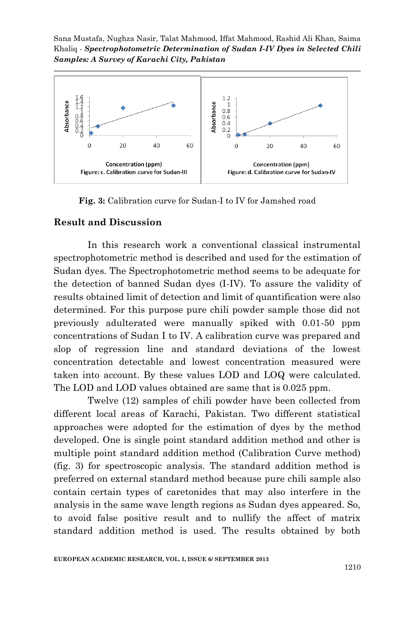Sana Mustafa, Nughza Nasir, Talat Mahmood, Iffat Mahmood, Rashid Ali Khan, Saima Khaliq - *Spectrophotometric Determination of Sudan I-IV Dyes in Selected Chili Samples: A Survey of Karachi City, Pakistan*



 **Fig. 3:** Calibration curve for Sudan-I to IV for Jamshed road

#### **Result and Discussion**

In this research work a conventional classical instrumental spectrophotometric method is described and used for the estimation of Sudan dyes. The Spectrophotometric method seems to be adequate for the detection of banned Sudan dyes (I-IV). To assure the validity of results obtained limit of detection and limit of quantification were also determined. For this purpose pure chili powder sample those did not previously adulterated were manually spiked with 0.01-50 ppm concentrations of Sudan I to IV. A calibration curve was prepared and slop of regression line and standard deviations of the lowest concentration detectable and lowest concentration measured were taken into account. By these values LOD and LOQ were calculated. The LOD and LOD values obtained are same that is 0.025 ppm.

Twelve (12) samples of chili powder have been collected from different local areas of Karachi, Pakistan. Two different statistical approaches were adopted for the estimation of dyes by the method developed. One is single point standard addition method and other is multiple point standard addition method (Calibration Curve method) (fig. 3) for spectroscopic analysis. The standard addition method is preferred on external standard method because pure chili sample also contain certain types of caretonides that may also interfere in the analysis in the same wave length regions as Sudan dyes appeared. So, to avoid false positive result and to nullify the affect of matrix standard addition method is used. The results obtained by both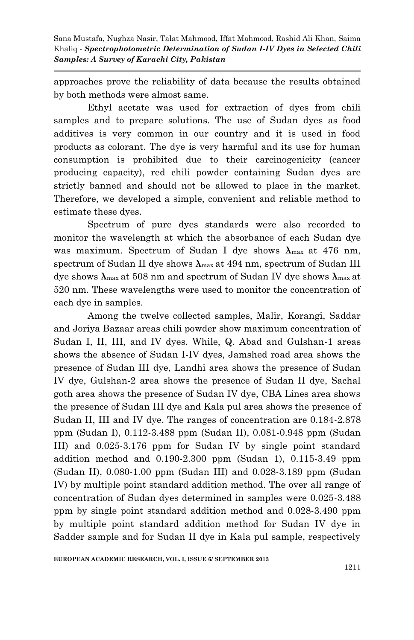approaches prove the reliability of data because the results obtained by both methods were almost same.

Ethyl acetate was used for extraction of dyes from chili samples and to prepare solutions. The use of Sudan dyes as food additives is very common in our country and it is used in food products as colorant. The dye is very harmful and its use for human consumption is prohibited due to their carcinogenicity (cancer producing capacity), red chili powder containing Sudan dyes are strictly banned and should not be allowed to place in the market. Therefore, we developed a simple, convenient and reliable method to estimate these dyes.

Spectrum of pure dyes standards were also recorded to monitor the wavelength at which the absorbance of each Sudan dye was maximum. Spectrum of Sudan I dye shows **λ**max at 476 nm, spectrum of Sudan II dye shows **λ**max at 494 nm, spectrum of Sudan III dye shows **λ**max at 508 nm and spectrum of Sudan IV dye shows **λ**max at 520 nm. These wavelengths were used to monitor the concentration of each dye in samples.

Among the twelve collected samples, Malir, Korangi, Saddar and Joriya Bazaar areas chili powder show maximum concentration of Sudan I, II, III, and IV dyes. While, Q. Abad and Gulshan-1 areas shows the absence of Sudan I-IV dyes, Jamshed road area shows the presence of Sudan III dye, Landhi area shows the presence of Sudan IV dye, Gulshan-2 area shows the presence of Sudan II dye, Sachal goth area shows the presence of Sudan IV dye, CBA Lines area shows the presence of Sudan III dye and Kala pul area shows the presence of Sudan II, III and IV dye. The ranges of concentration are 0.184-2.878 ppm (Sudan I), 0.112-3.488 ppm (Sudan II), 0.081-0.948 ppm (Sudan III) and 0.025-3.176 ppm for Sudan IV by single point standard addition method and 0.190-2.300 ppm (Sudan 1), 0.115-3.49 ppm (Sudan II), 0.080-1.00 ppm (Sudan III) and 0.028-3.189 ppm (Sudan IV) by multiple point standard addition method. The over all range of concentration of Sudan dyes determined in samples were 0.025-3.488 ppm by single point standard addition method and 0.028-3.490 ppm by multiple point standard addition method for Sudan IV dye in Sadder sample and for Sudan II dye in Kala pul sample, respectively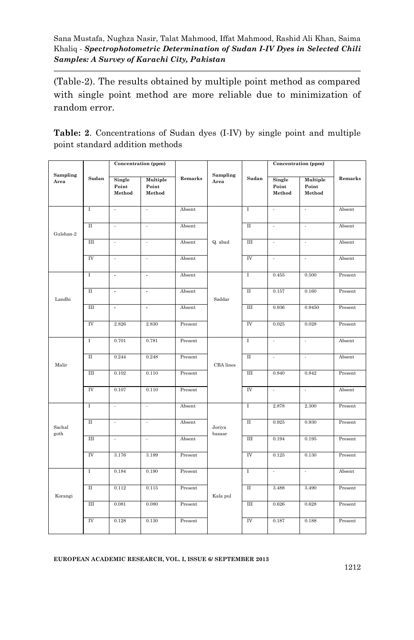(Table-2). The results obtained by multiple point method as compared with single point method are more reliable due to minimization of random error.

**Table: 2**. Concentrations of Sudan dyes (I-IV) by single point and multiple point standard addition methods

|                  |                         | Concentration (ppm)       |                             |         |                  |                         | Concentration (ppm)       |                             |         |
|------------------|-------------------------|---------------------------|-----------------------------|---------|------------------|-------------------------|---------------------------|-----------------------------|---------|
| Sampling<br>Area | Sudan                   | Single<br>Point<br>Method | Multiple<br>Point<br>Method | Remarks | Sampling<br>Area | Sudan                   | Single<br>Point<br>Method | Multiple<br>Point<br>Method | Remarks |
|                  | $\rm I$                 | $\overline{\phantom{a}}$  | $\cdot$                     | Absent  | Q. abad          | $\rm I$                 | $\cdot$                   | $\cdot$                     | Absent  |
| Gulshan-2        | Π                       | ×                         | $\cdot$                     | Absent  |                  | $\overline{\mathbf{u}}$ | $\cdot$                   | $\cdot$                     | Absent  |
|                  | $\overline{III}$        | ×,                        | $\cdot$                     | Absent  |                  | $\overline{III}$        | $\epsilon$                | ä,                          | Absent  |
|                  | IV                      | ÷                         | $\cdot$                     | Absent  |                  | IV                      | $\overline{\phantom{a}}$  | ×,                          | Absent  |
|                  | I                       | $\overline{\phantom{a}}$  | $\blacksquare$              | Absent  |                  | Ι                       | 0.455                     | 0.500                       | Present |
| Landhi           | $\rm \overline{II}$     | $\blacksquare$            | $\Box$                      | Absent  | Saddar           | $\rm \overline{II}$     | 0.157                     | 0.160                       | Present |
|                  | Ш                       | $\overline{\phantom{a}}$  | $\Box$                      | Absent  |                  | Ш                       | 0.936                     | 0.9450                      | Present |
|                  | IV                      | 2.826                     | 2.830                       | Present |                  | IV                      | $\,0.025\,$               | 0.028                       | Present |
|                  | Ι                       | 0.701                     | 0.781                       | Present | CBA lines        | Ι                       | ÷,                        | ÷                           | Absent  |
| Malir            | $\rm II$                | 0.244                     | 0.248                       | Present |                  | $\rm II$                | ä,                        | ÷,                          | Absent  |
|                  | $\overline{\mathbf{H}}$ | 0.102                     | 0.110                       | Present |                  | $\mathbf{H}$            | 0.840                     | 0.842                       | Present |
|                  | ${\rm IV}$              | 0.107                     | 0.110                       | Present |                  | $_{\rm IV}$             | ä,                        | $\overline{\phantom{a}}$    | Absent  |
|                  | Т                       | $\overline{\phantom{a}}$  | $\cdot$                     | Absent  |                  | Τ                       | 2.878                     | 2.300                       | Present |
| Sachal           | $\rm II$                | $\epsilon$                | $\epsilon$                  | Absent  | Joriya<br>bazaar | $\rm II$                | 0.925                     | 0.930                       | Present |
| goth             | Ш                       | ×,                        | $\cdot$                     | Absent  |                  | Ш                       | 0.194                     | 0.195                       | Present |
|                  | <b>IV</b>               | 3.176                     | 3.189                       | Present |                  | IV                      | 0.125                     | 0.130                       | Present |
|                  | $\overline{I}$          | 0.184                     | 0.190                       | Present | Kala pul         | $\overline{I}$          | $\overline{\phantom{a}}$  | $\sim$                      | Absent  |
| Korangi          | $\overline{\mathbf{u}}$ | 0.112                     | 0.115                       | Present |                  | $\overline{\mathbf{u}}$ | 3.488                     | 3.490                       | Present |
|                  | $\overline{\mathbf{H}}$ | 0.081                     | 0.080                       | Present |                  | $\mathbf{H}$            | 0.626                     | 0.628                       | Present |
|                  | IV                      | 0.128                     | 0.130                       | Present |                  | IV                      | 0.187                     | 0.188                       | Present |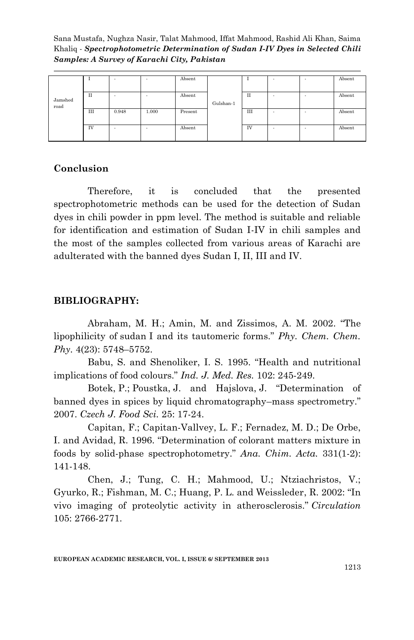|               |    | ۰     | ٠     | Absent  |           |    | ٠                        | ٠ | Absent |
|---------------|----|-------|-------|---------|-----------|----|--------------------------|---|--------|
|               |    |       |       |         |           |    |                          |   |        |
|               |    |       |       |         |           |    |                          |   |        |
|               | П  | ٠     |       | Absent  |           | П  | ٠                        |   | Absent |
| Jamshed       |    |       |       |         |           |    |                          |   |        |
| $_{\rm road}$ |    |       |       |         | Gulshan-1 |    |                          |   |        |
|               | Ш  | 0.948 | 1.000 | Present |           | Ш  | $\overline{\phantom{a}}$ |   | Absent |
|               |    |       |       |         |           |    |                          |   |        |
|               |    |       |       |         |           |    |                          |   |        |
|               |    |       |       |         |           |    |                          |   |        |
|               | IV | ٠     | ٠     | Absent  |           | IV | ٠                        |   | Absent |
|               |    |       |       |         |           |    |                          |   |        |
|               |    |       |       |         |           |    |                          |   |        |
|               |    |       |       |         |           |    |                          |   |        |

## **Conclusion**

Therefore, it is concluded that the presented spectrophotometric methods can be used for the detection of Sudan dyes in chili powder in ppm level. The method is suitable and reliable for identification and estimation of Sudan I-IV in chili samples and the most of the samples collected from various areas of Karachi are adulterated with the banned dyes Sudan I, II, III and IV.

## **BIBLIOGRAPHY:**

Abraham, M. H.; Amin, M. and Zissimos, A. M. 2002. "The lipophilicity of sudan I and its tautomeric forms." *Phy. Chem. Chem. Phy.* 4(23): 5748–5752.

Babu, S. and Shenoliker, I. S. 1995. "Health and nutritional implications of food colours." *Ind. J. Med. Res.* 102: 245-249.

Botek, P.; Poustka, J. and Hajslova, J. "Determination of banned dyes in spices by liquid chromatography–mass spectrometry." 2007. *Czech J. Food Sci.* 25: 17-24.

Capitan, F.; Capitan-Vallvey, L. F.; Fernadez, M. D.; De Orbe, I. and Avidad, R. 1996. "Determination of colorant matters mixture in foods by solid-phase spectrophotometry." *Ana. Chim. Acta.* 331(1-2): 141-148.

Chen, J.; Tung, C. H.; Mahmood, U.; Ntziachristos, V.; Gyurko, R.; Fishman, M. C.; Huang, P. L. and Weissleder, R. 2002: "In vivo imaging of proteolytic activity in atherosclerosis." *Circulation* 105: 2766-2771.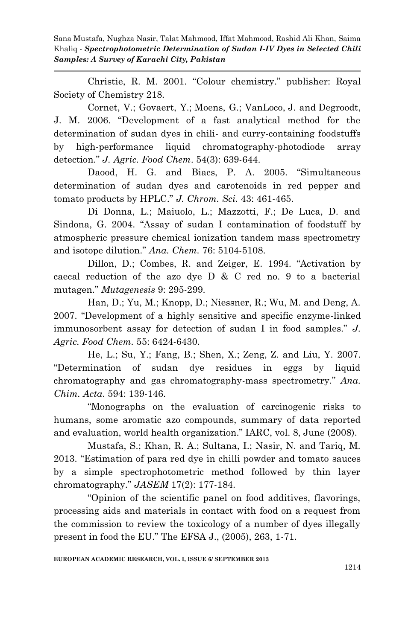Christie, R. M. 2001. "Colour chemistry." publisher: Royal Society of Chemistry 218.

Cornet, V.; Govaert, Y.; Moens, G.; VanLoco, J. and Degroodt, J. M. 2006. "Development of a fast analytical method for the determination of sudan dyes in chili- and curry-containing foodstuffs by high-performance liquid chromatography-photodiode array detection." *J. Agric. Food Chem*. 54(3): 639-644.

Daood, H. G. and Biacs, P. A. 2005. "Simultaneous determination of sudan dyes and carotenoids in red pepper and tomato products by HPLC." *J. Chrom. Sci.* 43: 461-465.

Di Donna, L.; Maiuolo, L.; Mazzotti, F.; De Luca, D. and Sindona, G. 2004. "Assay of sudan I contamination of foodstuff by atmospheric pressure chemical ionization tandem mass spectrometry and isotope dilution." *Ana. Chem.* 76: 5104-5108.

Dillon, D.; Combes, R. and Zeiger, E. 1994. "Activation by caecal reduction of the azo dye D & C red no. 9 to a bacterial mutagen." *Mutagenesis* 9: 295-299.

Han, D.; Yu, M.; Knopp, D.; Niessner, R.; Wu, M. and Deng, A. 2007. "Development of a highly sensitive and specific enzyme-linked immunosorbent assay for detection of sudan I in food samples." *J. Agric. Food Chem.* 55: 6424-6430.

He, L.; Su, Y.; Fang, B.; Shen, X.; Zeng, Z. and Liu, Y. 2007. "Determination of sudan dye residues in eggs by liquid chromatography and gas chromatography-mass spectrometry." *Ana. Chim. Acta*. 594: 139-146.

"Monographs on the evaluation of carcinogenic risks to humans, some aromatic azo compounds, summary of data reported and evaluation, world health organization." IARC, vol. 8, June (2008).

Mustafa, S.; Khan, R. A.; Sultana, I.; Nasir, N. and Tariq, M. 2013. "Estimation of para red dye in chilli powder and tomato sauces by a simple spectrophotometric method followed by thin layer chromatography." *JASEM* 17(2): 177-184.

"Opinion of the scientific panel on food additives, flavorings, processing aids and materials in contact with food on a request from the commission to review the toxicology of a number of dyes illegally present in food the EU." The EFSA J., (2005), 263, 1-71.